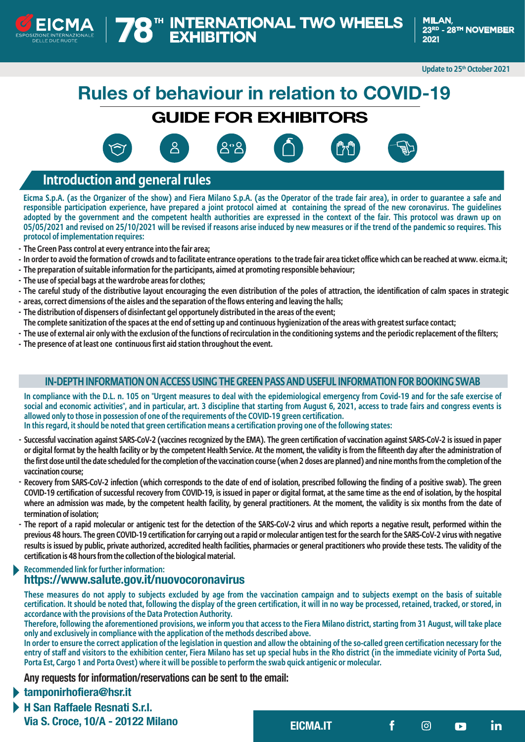

**Update to 25th October 2021**

# **Rules of behaviour in relation to COVID-19**

## **GUIDE FOR EXHIBITORS**







### **Introduction and general rules**

**Eicma S.p.A. (as the Organizer of the show) and Fiera Milano S.p.A. (as the Operator of the trade fair area), in order to guarantee a safe and responsible participation experience, have prepared a joint protocol aimed at containing the spread of the new coronavirus. The guidelines adopted by the government and the competent health authorities are expressed in the context of the fair. This protocol was drawn up on 05/05/2021 and revised on 25/10/2021 will be revised if reasons arise induced by new measures or if the trend of the pandemic so requires. This protocol of implementation requires:**

- **The Green Pass control at every entrance into the fair area; -**
- **In order to avoid the formation of crowds and to facilitate entrance operations to the trade fair area ticket office which can be reached at www. eicma.it; -**
- **The preparation of suitable information for the participants, aimed at promoting responsible behaviour; -**
- **The use of special bags at the wardrobe areas for clothes; -**
- **The careful study of the distributive layout encouraging the even distribution of the poles of attraction, the identification of calm spaces in strategic -**
- **areas, correct dimensions of the aisles and the separation of the flows entering and leaving the halls; -**
- **The distribution of dispensers of disinfectant gel opportunely distributed in the areas of the event; -**
- **The complete sanitization of the spaces at the end of setting up and continuous hygienization of the areas with greatest surface contact;**
- **The use of external air only with the exclusion of the functions of recirculation in the conditioning systems and the periodic replacement of the filters; -**
- **The presence of at least one continuous first aid station throughout the event. -**

#### **IN-DEPTH INFORMATION ON ACCESS USING THE GREEN PASS AND USEFUL INFORMATION FOR BOOKING SWAB**

**In compliance with the D.L. n. 105 on "Urgent measures to deal with the epidemiological emergency from Covid-19 and for the safe exercise of social and economic activities", and in particular, art. 3 discipline that starting from August 6, 2021, access to trade fairs and congress events is allowed only to those in possession of one of the requirements of the COVID-19 green certification.**

**In this regard, it should be noted that green certification means a certification proving one of the following states:**

- **Successful vaccination against SARS-CoV-2 (vaccines recognized by the EMA). The green certification of vaccination against SARS-CoV-2 is issued in paper or digital format by the health facility or by the competent Health Service. At the moment, the validity is from the fifteenth day after the administration of the first dose until the date scheduled for the completion of the vaccination course (when 2 doses are planned) and nine months from the completion of the vaccination course;**
- **Recovery from SARS-CoV-2 infection (which corresponds to the date of end of isolation, prescribed following the finding of a positive swab). The green COVID-19 certification of successful recovery from COVID-19, is issued in paper or digital format, at the same time as the end of isolation, by the hospital where an admission was made, by the competent health facility, by general practitioners. At the moment, the validity is six months from the date of termination of isolation; -**
- **The report of a rapid molecular or antigenic test for the detection of the SARS-CoV-2 virus and which reports a negative result, performed within the previous 48 hours. The green COVID-19 certification for carrying out a rapid or molecular antigen test for the search for the SARS-CoV-2 virus with negative results is issued by public, private authorized, accredited health facilities, pharmacies or general practitioners who provide these tests. The validity of the certification is 48 hours from the collection of the biological material.**

#### **Recommended link for further information: https://www.salute.gov.it/nuovocoronavirus**

**These measures do not apply to subjects excluded by age from the vaccination campaign and to subjects exempt on the basis of suitable certification. It should be noted that, following the display of the green certification, it will in no way be processed, retained, tracked, or stored, in accordance with the provisions of the Data Protection Authority.**

**Therefore, following the aforementioned provisions, we inform you that access to the Fiera Milano district, starting from 31 August, will take place only and exclusively in compliance with the application of the methods described above.**

**In order to ensure the correct application of the legislation in question and allow the obtaining of the so-called green certification necessary for the entry of staff and visitors to the exhibition center, Fiera Milano has set up special hubs in the Rho district (in the immediate vicinity of Porta Sud, Porta Est, Cargo 1 and Porta Ovest) where it will be possible to perform the swab quick antigenic or molecular.**

**Any requests for information/reservations can be sent to the email:** 

#### **tamponirhofiera@hsr.it**

**H San Raffaele Resnati S.r.l. Via S. Croce, 10/A - 20122 Milano**

**EICMA.IT in**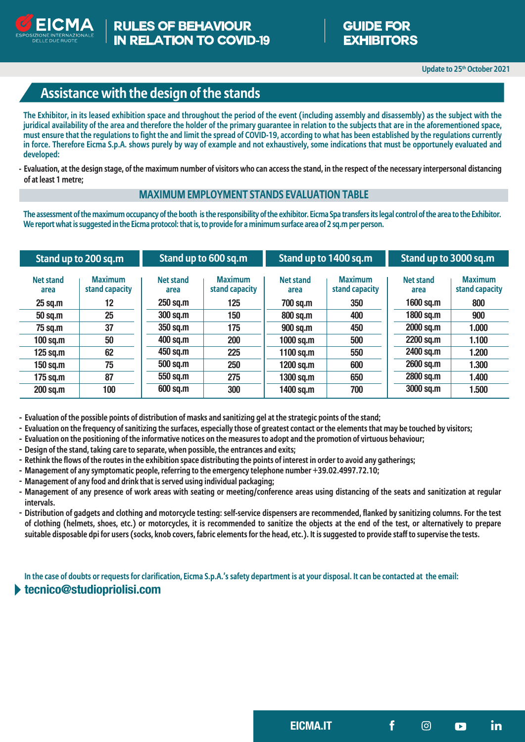

## **Assistance with the design of the stands**

**The Exhibitor, in its leased exhibition space and throughout the period of the event (including assembly and disassembly) as the subject with the juridical availability of the area and therefore the holder of the primary guarantee in relation to the subjects that are in the aforementioned space, must ensure that the regulations to fight the and limit the spread of COVID-19, according to what has been established by the regulations currently in force. Therefore Eicma S.p.A. shows purely by way of example and not exhaustively, some indications that must be opportunely evaluated and developed:**

**Evaluation, at the design stage, of the maximum number of visitors who can access the stand, in the respect of the necessary interpersonal distancing of at least 1 metre;**

#### **MAXIMUM EMPLOYMENT STANDS EVALUATION TABLE**

**The assessment of the maximum occupancy of the booth is the responsibility of the exhibitor. Eicma Spa transfers its legal control of the area to the Exhibitor. We report what is suggested in the Eicma protocol: that is, to provide for a minimum surface area of 2 sq.m per person.**

| Stand up to 200 sq.m     |                                  | Stand up to 600 sq.m     |                                  | Stand up to 1400 sq.m |                                  | Stand up to 3000 sq.m    |                                  |
|--------------------------|----------------------------------|--------------------------|----------------------------------|-----------------------|----------------------------------|--------------------------|----------------------------------|
| <b>Net stand</b><br>area | <b>Maximum</b><br>stand capacity | <b>Net stand</b><br>area | <b>Maximum</b><br>stand capacity | Net stand<br>area     | <b>Maximum</b><br>stand capacity | <b>Net stand</b><br>area | <b>Maximum</b><br>stand capacity |
| $25$ sq.m                | 12                               | 250 sq.m                 | 125                              | 700 sq.m              | 350                              | $1600$ sq.m              | 800                              |
| 50 sq.m                  | 25                               | <b>300 sq.m</b>          | 150                              | 800 sq.m              | 400                              | 1800 sq.m                | 900                              |
| 75 sq.m                  | 37                               | 350 sq.m                 | 175                              | 900 sq.m              | 450                              | 2000 sq.m                | 1.000                            |
| $100$ sq.m               | 50                               | 400 sq.m                 | 200                              | 1000 sq.m             | 500                              | 2200 sq.m                | 1.100                            |
| $125$ sq.m               | 62                               | 450 sq.m                 | 225                              | 1100 sq.m             | 550                              | 2400 sq.m                | 1.200                            |
| 150 sq.m                 | 75                               | 500 sq.m                 | 250                              | 1200 sq.m             | 600                              | 2600 sq.m                | 1.300                            |
| $175$ sq.m               | 87                               | 550 sq.m                 | 275                              | 1300 sq.m             | 650                              | 2800 sq.m                | 1.400                            |
| 200 sq.m                 | 100                              | 600 sq.m                 | 300                              | 1400 sq.m             | 700                              | 3000 sq.m                | 1.500                            |

**- Evaluation of the possible points of distribution of masks and sanitizing gel at the strategic points of the stand;**

- **- Evaluation on the frequency of sanitizing the surfaces, especially those of greatest contact or the elements that may be touched by visitors;**
- **- Evaluation on the positioning of the informative notices on the measures to adopt and the promotion of virtuous behaviour;**
- **- Design of the stand, taking care to separate, when possible, the entrances and exits;**
- **- Rethink the flows of the routes in the exhibition space distributing the points of interest in order to avoid any gatherings;**
- **- Management of any symptomatic people, referring to the emergency telephone number +39.02.4997.72.10;**
- **- Management of any food and drink that is served using individual packaging;**
- **- Management of any presence of work areas with seating or meeting/conference areas using distancing of the seats and sanitization at regular intervals.**
- **- Distribution of gadgets and clothing and motorcycle testing: self-service dispensers are recommended, flanked by sanitizing columns. For the test of clothing (helmets, shoes, etc.) or motorcycles, it is recommended to sanitize the objects at the end of the test, or alternatively to prepare suitable disposable dpi for users (socks, knob covers, fabric elements for the head, etc.). It is suggested to provide staff to supervise the tests.**

**In the case of doubts or requests for clarification, Eicma S.p.A.'s safety department is at your disposal. It can be contacted at the email:**

#### **tecnico@studiopriolisi.com**

**EICMA.IT in**